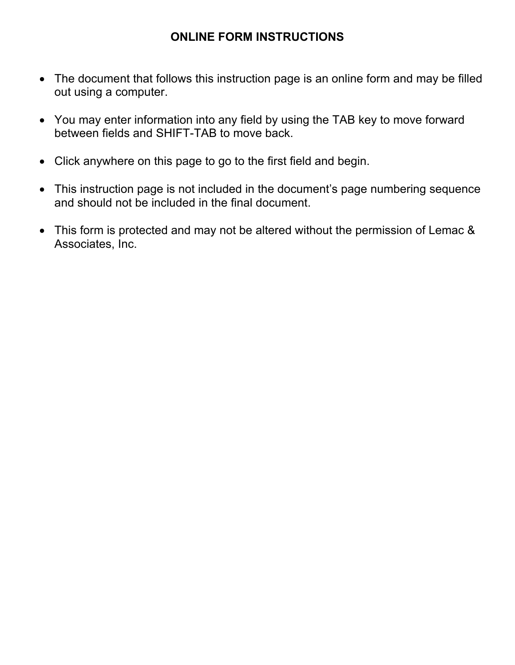## **ONLINE FORM INSTRUCTIONS**

- The document that follows this instruction page is an online form and may be filled out using a computer.
- You may enter information into any field by using the TAB key to move forward between fields and SHIFT-TAB to move back.
- Click anywhere on this page to go to the first field and begin.
- This instruction page is not included in the document's page numbering sequence and should not be included in the final document.
- This form is protected and may not be altered without the permission of Lemac & Associates, Inc.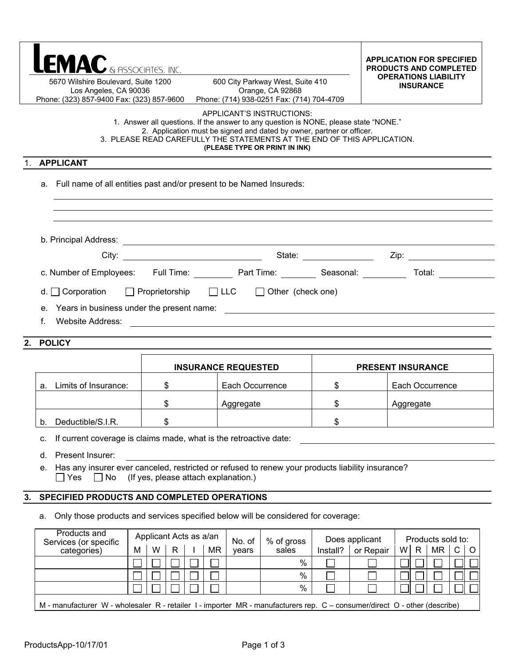| LEMAC & ASSOCIATES, INC.<br>5670 Wilshire Boulevard, Suite 1200<br>Los Angeles, CA 90036 | <b>APPLICATION FOR SPECIFIED</b><br><b>PRODUCTS AND COMPLETED</b><br><b>OPERATIONS LIABILITY</b><br><b>INSURANCE</b> |                                                                                                                                                                                                                                                                                                        |    |                          |  |  |  |  |  |  |
|------------------------------------------------------------------------------------------|----------------------------------------------------------------------------------------------------------------------|--------------------------------------------------------------------------------------------------------------------------------------------------------------------------------------------------------------------------------------------------------------------------------------------------------|----|--------------------------|--|--|--|--|--|--|
| Phone: (323) 857-9400 Fax: (323) 857-9600                                                |                                                                                                                      | Orange, CA 92868<br>Phone: (714) 938-0251 Fax: (714) 704-4709                                                                                                                                                                                                                                          |    |                          |  |  |  |  |  |  |
|                                                                                          |                                                                                                                      | APPLICANT'S INSTRUCTIONS:<br>1. Answer all questions. If the answer to any question is NONE, please state "NONE."<br>2. Application must be signed and dated by owner, partner or officer.<br>3. PLEASE READ CAREFULLY THE STATEMENTS AT THE END OF THIS APPLICATION.<br>(PLEASE TYPE OR PRINT IN INK) |    |                          |  |  |  |  |  |  |
| <b>APPLICANT</b>                                                                         |                                                                                                                      |                                                                                                                                                                                                                                                                                                        |    |                          |  |  |  |  |  |  |
| Full name of all entities past and/or present to be Named Insureds:<br>a.                |                                                                                                                      |                                                                                                                                                                                                                                                                                                        |    |                          |  |  |  |  |  |  |
|                                                                                          |                                                                                                                      |                                                                                                                                                                                                                                                                                                        |    |                          |  |  |  |  |  |  |
|                                                                                          |                                                                                                                      |                                                                                                                                                                                                                                                                                                        |    | State: Zip: Zip:         |  |  |  |  |  |  |
|                                                                                          | c. Number of Employees: Full Time: Part Time: Seasonal: The Motal: Computer Seasonal:                                |                                                                                                                                                                                                                                                                                                        |    |                          |  |  |  |  |  |  |
| $\Box$ Corporation<br>d. I<br>$e_{1}$<br>f.                                              | □ Proprietorship □ LLC □ Other (check one)<br>Website Address:                                                       |                                                                                                                                                                                                                                                                                                        |    |                          |  |  |  |  |  |  |
| <b>POLICY</b><br>$2_{-}$                                                                 |                                                                                                                      |                                                                                                                                                                                                                                                                                                        |    |                          |  |  |  |  |  |  |
|                                                                                          |                                                                                                                      | <b>INSURANCE REQUESTED</b>                                                                                                                                                                                                                                                                             |    | <b>PRESENT INSURANCE</b> |  |  |  |  |  |  |
| Limits of Insurance:<br>a.                                                               | \$                                                                                                                   | Each Occurrence                                                                                                                                                                                                                                                                                        | \$ | Each Occurrence          |  |  |  |  |  |  |
|                                                                                          | \$                                                                                                                   | Aggregate                                                                                                                                                                                                                                                                                              | \$ | Aggregate                |  |  |  |  |  |  |
| Deductible/S.I.R.<br>b.                                                                  | \$                                                                                                                   |                                                                                                                                                                                                                                                                                                        | \$ |                          |  |  |  |  |  |  |
| c.                                                                                       | If current coverage is claims made, what is the retroactive date:                                                    |                                                                                                                                                                                                                                                                                                        |    |                          |  |  |  |  |  |  |
| d.                                                                                       | Present Insurer:                                                                                                     |                                                                                                                                                                                                                                                                                                        |    |                          |  |  |  |  |  |  |
| е.<br>$\Box$ Yes<br>$\Box$ No                                                            | (If yes, please attach explanation.)                                                                                 | Has any insurer ever canceled, restricted or refused to renew your products liability insurance?                                                                                                                                                                                                       |    |                          |  |  |  |  |  |  |
| 3.                                                                                       | SPECIFIED PRODUCTS AND COMPLETED OPERATIONS                                                                          |                                                                                                                                                                                                                                                                                                        |    |                          |  |  |  |  |  |  |

a. Only those products and services specified below will be considered for coverage:

| Products and<br>Services (or specific                                                                                      | Applicant Acts as a/an |   |   |  |    | No. of | % of gross | Does applicant |           | Products sold to: |   |           |              |  |
|----------------------------------------------------------------------------------------------------------------------------|------------------------|---|---|--|----|--------|------------|----------------|-----------|-------------------|---|-----------|--------------|--|
| categories)                                                                                                                | M                      | W | R |  | ΜR | vears  | sales      | Install?       | or Repair | W.                | R | <b>MR</b> | $\mathsf{C}$ |  |
|                                                                                                                            |                        |   |   |  |    |        | %          |                |           |                   |   |           |              |  |
|                                                                                                                            |                        |   |   |  |    |        | %          |                |           |                   |   |           |              |  |
|                                                                                                                            |                        |   |   |  |    |        | %          |                |           |                   |   |           |              |  |
| M - manufacturer W - wholesaler R - retailer I - importer MR - manufacturers rep. C - consumer/direct O - other (describe) |                        |   |   |  |    |        |            |                |           |                   |   |           |              |  |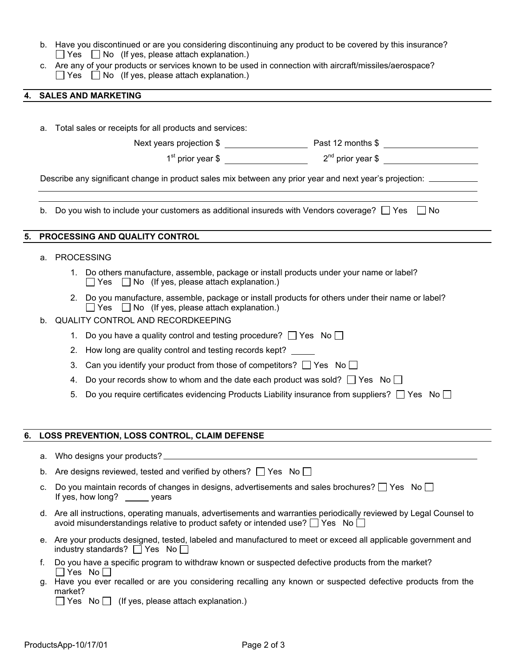- b. Have you discontinued or are you considering discontinuing any product to be covered by this insurance?  $\Box$  Yes  $\Box$  No (If yes, please attach explanation.)
- c. Are any of your products or services known to be used in connection with aircraft/missiles/aerospace?  $\Box$  Yes  $\Box$  No (If yes, please attach explanation.)

## **4. SALES AND MARKETING**

|    | а.                                                                                                               | Total sales or receipts for all products and services:                                                                                                                  |  |  |  |  |  |  |  |
|----|------------------------------------------------------------------------------------------------------------------|-------------------------------------------------------------------------------------------------------------------------------------------------------------------------|--|--|--|--|--|--|--|
|    |                                                                                                                  |                                                                                                                                                                         |  |  |  |  |  |  |  |
|    |                                                                                                                  |                                                                                                                                                                         |  |  |  |  |  |  |  |
|    | Describe any significant change in product sales mix between any prior year and next year's projection: ________ |                                                                                                                                                                         |  |  |  |  |  |  |  |
|    |                                                                                                                  | b. Do you wish to include your customers as additional insureds with Vendors coverage? $\Box$ Yes $\Box$ No                                                             |  |  |  |  |  |  |  |
| 5. |                                                                                                                  | PROCESSING AND QUALITY CONTROL                                                                                                                                          |  |  |  |  |  |  |  |
|    | a.                                                                                                               | <b>PROCESSING</b>                                                                                                                                                       |  |  |  |  |  |  |  |
|    |                                                                                                                  | 1. Do others manufacture, assemble, package or install products under your name or label?<br>$\Box$ Yes $\Box$ No (If yes, please attach explanation.)                  |  |  |  |  |  |  |  |
|    |                                                                                                                  | Do you manufacture, assemble, package or install products for others under their name or label?<br>$2^{2}$<br>$\Box$ Yes $\Box$ No (If yes, please attach explanation.) |  |  |  |  |  |  |  |
|    | $b_{\cdot}$                                                                                                      | <b>QUALITY CONTROL AND RECORDKEEPING</b>                                                                                                                                |  |  |  |  |  |  |  |
|    |                                                                                                                  | 1. Do you have a quality control and testing procedure? $\Box$ Yes No $\Box$<br>How long are quality control and testing records kept?<br>2.                            |  |  |  |  |  |  |  |
|    |                                                                                                                  | Can you identify your product from those of competitors? $\Box$ Yes No $\Box$<br>3.                                                                                     |  |  |  |  |  |  |  |
|    |                                                                                                                  | Do your records show to whom and the date each product was sold? $\Box$ Yes No $\Box$<br>4.                                                                             |  |  |  |  |  |  |  |
|    |                                                                                                                  | Do you require certificates evidencing Products Liability insurance from suppliers? $\Box$ Yes No $\Box$<br>5.                                                          |  |  |  |  |  |  |  |
|    |                                                                                                                  |                                                                                                                                                                         |  |  |  |  |  |  |  |
| 6. |                                                                                                                  | LOSS PREVENTION, LOSS CONTROL, CLAIM DEFENSE                                                                                                                            |  |  |  |  |  |  |  |
|    |                                                                                                                  |                                                                                                                                                                         |  |  |  |  |  |  |  |
|    |                                                                                                                  |                                                                                                                                                                         |  |  |  |  |  |  |  |

- b. Are designs reviewed, tested and verified by others?  $\Box$  Yes No  $\Box$
- c. Do you maintain records of changes in designs, advertisements and sales brochures?  $\Box$  Yes No  $\Box$ If yes, how long? \_\_\_\_\_\_ years
- d. Are all instructions, operating manuals, advertisements and warranties periodically reviewed by Legal Counsel to avoid misunderstandings relative to product safety or intended use?  $\Box$  Yes No  $\Box$
- e. Are your products designed, tested, labeled and manufactured to meet or exceed all applicable government and industry standards?  $\Box$  Yes No  $\Box$
- f. Do you have a specific program to withdraw known or suspected defective products from the market?  $\Box$  Yes No $\Box$
- g. Have you ever recalled or are you considering recalling any known or suspected defective products from the market?

 $\Box$  Yes No  $\Box$  (If yes, please attach explanation.)